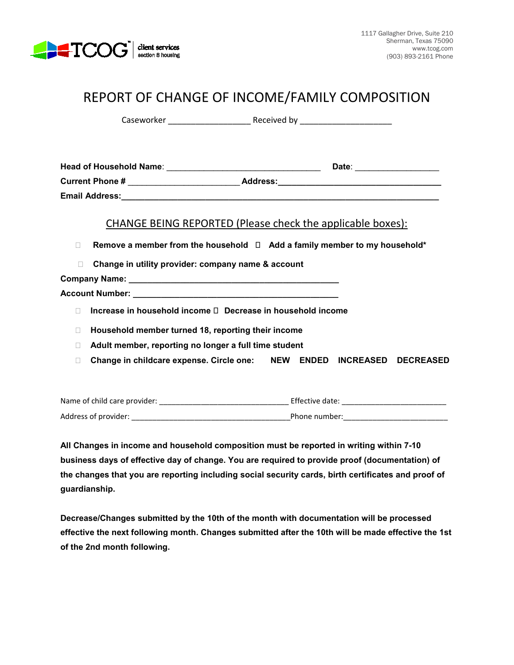

# REPORT OF CHANGE OF INCOME/FAMILY COMPOSITION

Caseworker \_\_\_\_\_\_\_\_\_\_\_\_\_\_\_\_\_\_ Received by \_\_\_\_\_\_\_\_\_\_\_\_\_\_\_\_\_\_\_\_

| <b>Head of Household Name:</b> |                 | Date: |  |
|--------------------------------|-----------------|-------|--|
| <b>Current Phone #</b>         | <b>Address:</b> |       |  |
| <b>Email Address:</b>          |                 |       |  |

### CHANGE BEING REPORTED (Please check the applicable boxes):

- **Remove a member from the household Add a family member to my household\***
- **Change in utility provider: company name & account**

**Company Name: \_\_\_\_\_\_\_\_\_\_\_\_\_\_\_\_\_\_\_\_\_\_\_\_\_\_\_\_\_\_\_\_\_\_\_\_\_\_\_\_\_\_\_\_\_**

**Account Number: \_\_\_\_\_\_\_\_\_\_\_\_\_\_\_\_\_\_\_\_\_\_\_\_\_\_\_\_\_\_\_\_\_\_\_\_\_\_\_\_\_\_\_\_**

- □ Increase in household income □ Decrease in household income
- **Household member turned 18, reporting their income**
- **Adult member, reporting no longer a full time student**
- **Change in childcare expense. Circle one: NEW ENDED INCREASED DECREASED**

| Name of child care provider: | Effective date: |
|------------------------------|-----------------|
| Address of provider:         | Phone number:   |

**All Changes in income and household composition must be reported in writing within 7-10 business days of effective day of change. You are required to provide proof (documentation) of the changes that you are reporting including social security cards, birth certificates and proof of guardianship.**

**Decrease/Changes submitted by the 10th of the month with documentation will be processed effective the next following month. Changes submitted after the 10th will be made effective the 1st of the 2nd month following.**